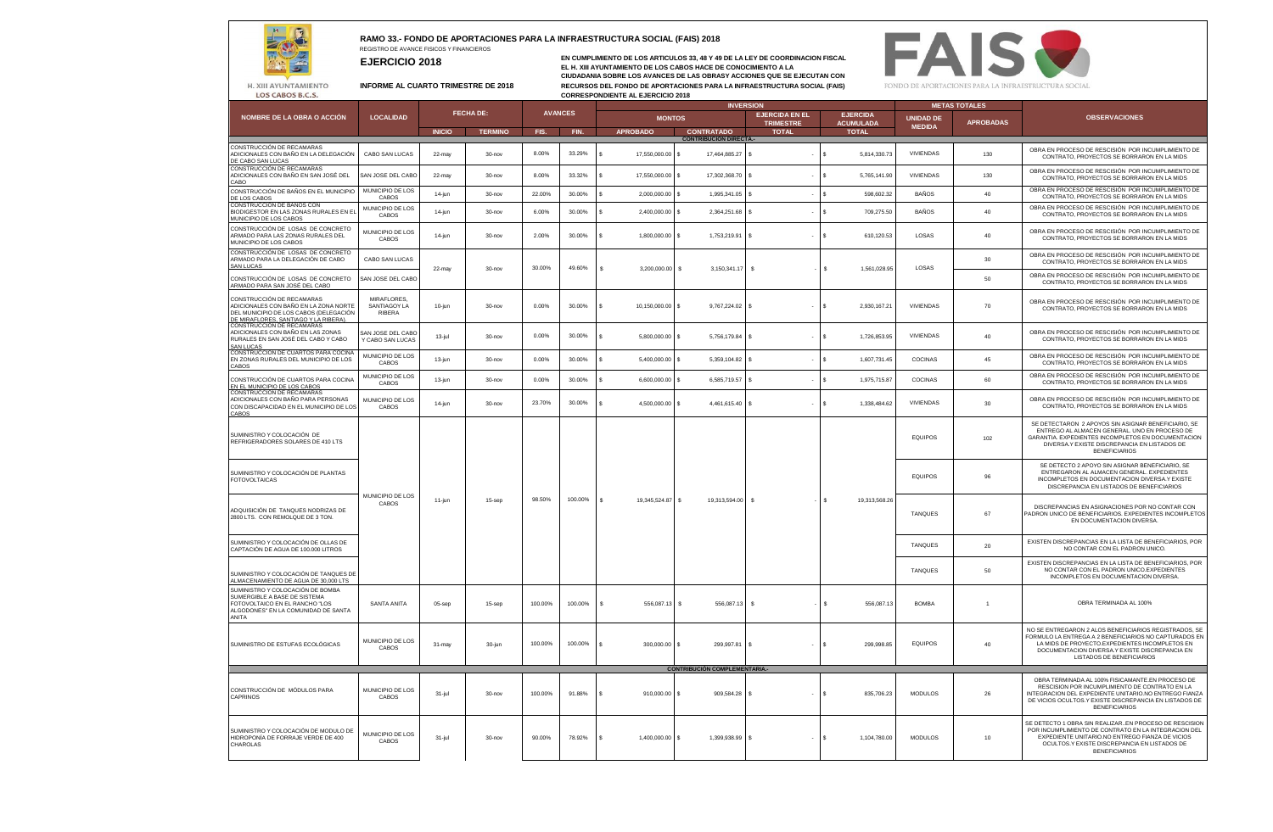## **RAMO 33.- FONDO DE APORTACIONES PARA LA INFRAESTRUCTURA SOCIAL (FAIS) 2018**

REGISTRO DE AVANCE FISICOS Y FINANCIEROS **EJERCICIO 2018**

**EN CUMPLIMIENTO DE LOS ARTICULOS 33, 48 Y 49 DE LA LEY DE COORDINACION FISCAL EL H. XIII AYUNTAMIENTO DE LOS CABOS HACE DE CONOCIMIENTO A LA CIUDADANIA SOBRE LOS AVANCES DE LAS OBRASY ACCIONES QUE SE EJECUTAN CON INFORME AL CUARTO TRIMESTRE DE 2018 RECURSOS DEL FONDO DE APORTACIONES PARA LA INFRAESTRUCTURA SOCIAL (FAIS) CORRESPONDIENTE AL EJERCICIO 2018**



H. XIII AYUNTAMIENTO LOS CABOS B.C.S.

 $\overline{a}$  $\bullet$ 

|                                                                                                                                                       | <b>LOCALIDAD</b>                      |                  |                |                |         | <b>INVERSION</b>             |                                      |                                                                                  |                    | <b>METAS TOTALES</b> |                                      |                |                                                                                                                                                                                                                                                |
|-------------------------------------------------------------------------------------------------------------------------------------------------------|---------------------------------------|------------------|----------------|----------------|---------|------------------------------|--------------------------------------|----------------------------------------------------------------------------------|--------------------|----------------------|--------------------------------------|----------------|------------------------------------------------------------------------------------------------------------------------------------------------------------------------------------------------------------------------------------------------|
| NOMBRE DE LA OBRA O ACCIÓN                                                                                                                            |                                       | <b>FECHA DE:</b> |                | <b>AVANCES</b> |         | <b>MONTOS</b>                |                                      | <b>EJERCIDA EN EL</b><br><b>EJERCIDA</b><br><b>ACUMULADA</b><br><b>TRIMESTRE</b> |                    |                      | <b>UNIDAD DE</b><br><b>APROBADAS</b> |                | <b>OBSERVACIONES</b>                                                                                                                                                                                                                           |
|                                                                                                                                                       |                                       | <b>INICIO</b>    | <b>TERMINO</b> | FIS.           | FIN.    | <b>APROBADO</b>              | <b>CONTRATADO</b>                    | <b>TOTAL</b>                                                                     | <b>TOTAL</b>       |                      | <b>MEDIDA</b>                        |                |                                                                                                                                                                                                                                                |
| CONSTRUCCIÓN DE RECAMARAS                                                                                                                             |                                       |                  |                |                |         |                              | <b>CONTRIBUCIÓN DIRECTA-</b>         |                                                                                  |                    |                      |                                      |                | OBRA EN PROCESO DE RESCISIÓN POR INCUMPLIMIENTO DE                                                                                                                                                                                             |
| ADICIONALES CON BAÑO EN LA DELEGACIÓN<br>DE CABO SAN LUCAS<br>CONSTRUCCIÓN DE RECAMARAS                                                               | CABO SAN LUCAS                        | 22-may           | $30 - nov$     | 8.00%          | 33.29%  | 17,550,000.00 \$             | 17,464,885.27 \$                     | $\cdot$                                                                          | s                  | 5,814,330.73         | VIVIENDAS                            | 130            | CONTRATO, PROYECTOS SE BORRARON EN LA MIDS                                                                                                                                                                                                     |
| ADICIONALES CON BAÑO EN SAN JOSÉ DEL<br>CABO                                                                                                          | SAN JOSE DEL CABO                     | 22-may           | $30 - n$ ov    | 8.00%          | 33.32%  | 17,550,000.00 \$             | 17,302,368,70 \$                     | ٠.                                                                               | ٩                  | 5,765,141.90         | <b>VIVIENDAS</b>                     | 130            | OBRA EN PROCESO DE RESCISIÓN POR INCUMPLIMIENTO DE<br>CONTRATO, PROYECTOS SE BORRARON EN LA MIDS                                                                                                                                               |
| CONSTRUCCIÓN DE BAÑOS EN EL MUNICIPIO<br>DE LOS CABOS                                                                                                 | MUNICIPIO DE LOS<br>CABOS             | 14-jun           | $30 - n$ ov    | 22.00%         | 30.00%  | 2,000,000.00 \$              | 1,995,341.05                         |                                                                                  | s                  | 598,602.32           | <b>BAÑOS</b>                         | 40             | OBRA EN PROCESO DE RESCISIÓN POR INCUMPLIMIENTO DE<br>CONTRATO, PROYECTOS SE BORRARON EN LA MIDS                                                                                                                                               |
| CONSTRUCCIÓN DE BAÑOS CON<br>BIODIGESTOR EN LAS ZONAS RURALES EN EL<br>MUNICIPIO DE LOS CABOS                                                         | MUNICIPIO DE LOS<br>CABOS             | 14-jun           | $30 - n$ ov    | 6.00%          | 30.00%  | 2,400,000.00 \$              | 2,364,251.68 \$                      |                                                                                  | \$.                | 709,275.50           | <b>BAÑOS</b>                         | 40             | OBRA EN PROCESO DE RESCISIÓN POR INCUMPLIMIENTO DE<br>CONTRATO, PROYECTOS SE BORRARON EN LA MIDS                                                                                                                                               |
| CONSTRUCCIÓN DE LOSAS DE CONCRETO<br>ARMADO PARA LAS ZONAS RURALES DEL<br>MUNICIPIO DE LOS CABOS                                                      | MUNICIPIO DE LOS<br>CABOS             | 14-jun           | $30 - nov$     | 2.00%          | 30.00%  | 1,800,000.00 \$              | 1,753,219.91 \$                      |                                                                                  | $\mathbf{s}$       | 610,120.53           | LOSAS                                | 40             | OBRA EN PROCESO DE RESCISIÓN POR INCUMPLIMIENTO DE<br>CONTRATO, PROYECTOS SE BORRARON EN LA MIDS                                                                                                                                               |
| CONSTRUCCIÓN DE LOSAS DE CONCRETO<br>ARMADO PARA LA DELEGACIÓN DE CABO<br>SAN I UCAS                                                                  | CABO SAN LUCAS                        | 22-may           | 30-nov         | 30.00%         | 49.60%  | 3.200.000.00 S<br>s          | $3.150.341.17$ \ \$                  |                                                                                  | $\mathbf{s}$       | 1.561.028.95         | <b>LOSAS</b>                         | 30             | OBRA EN PROCESO DE RESCISIÓN POR INCUMPLIMIENTO DE<br>CONTRATO, PROYECTOS SE BORRARON EN LA MIDS                                                                                                                                               |
| CONSTRUCCIÓN DE LOSAS DE CONCRETO<br>ARMADO PARA SAN JOSÉ DEL CABO                                                                                    | SAN JOSE DEL CABO                     |                  |                |                |         |                              |                                      |                                                                                  |                    |                      |                                      | 50             | OBRA EN PROCESO DE RESCISIÓN POR INCLIMPLIMIENTO DE<br>CONTRATO, PROYECTOS SE BORRARON EN LA MIDS                                                                                                                                              |
| CONSTRUCCIÓN DE RECAMARAS<br>ADICIONALES CON BAÑO EN LA ZONA NORTE<br>DEL MUNICIPIO DE LOS CABOS (DELEGACIÓN<br>DE MIRAELORES, SANTIAGO Y LA RIBERA). | MIRAFLORES.<br>SANTIAGOY LA<br>RIBERA | $10$ -jun        | 30-nov         | 0.00%          | 30.00%  | 10.150.000.00 \$<br>$\sim$   | $9.767.224.02$ \\$                   | $\sim$                                                                           | $\mathbf{s}$       | 2.930.167.21         | VIVIENDAS                            | 70             | OBRA EN PROCESO DE RESCISIÓN POR INCUMPLIMIENTO DE<br>CONTRATO, PROYECTOS SE BORRARON EN LA MIDS                                                                                                                                               |
| CONSTRUCCIÓN DE RECAMARAS<br>ADICIONALES CON BAÑO EN LAS ZONAS<br>RURALES EN SAN JOSÉ DEL CABO Y CABO<br>SAN I UCAS                                   | SAN JOSE DEL CABO<br>Y CABO SAN LUCAS | $13-jul$         | $30 - n$ ov    | 0.00%          | 30.00%  | 5,800,000.00 \$              | 5,756,179.84 \$                      |                                                                                  | s                  | 1.726.853.95         | VIVIENDAS                            | 40             | OBRA EN PROCESO DE RESCISIÓN POR INCUMPLIMIENTO DE<br>CONTRATO, PROYECTOS SE BORRARON EN LA MIDS                                                                                                                                               |
| CONSTRUCCION DE CUARTOS PARA COCINA<br>EN ZONAS RURALES DEL MUNICIPIO DE LOS<br>CABOS                                                                 | MUNICIPIO DE LOS<br>CABOS             | 13-jun           | $30 - nov$     | 0.00%          | 30.00%  | 5,400,000.00 \$              | 5,359,104.82 \$                      | $\sim$                                                                           | l s                | 1.607.731.45         | COCINAS                              | 45             | OBRA EN PROCESO DE RESCISIÓN POR INCUMPLIMIENTO DE<br>CONTRATO, PROYECTOS SE BORRARON EN LA MIDS                                                                                                                                               |
| CONSTRUCCIÓN DE CUARTOS PARA COCINA<br>EN EL MUNICIPIO DE LOS CABOS                                                                                   | MUNICIPIO DE LOS<br>CABOS             | 13-jun           | $30 - nov$     | 0.00%          | 30.00%  | 6,600,000.00 \$              | 6,585,719.57 \$                      |                                                                                  | \$.                | 1,975,715.87         | COCINAS                              | 60             | OBRA EN PROCESO DE RESCISIÓN POR INCUMPLIMIENTO DE<br>CONTRATO, PROYECTOS SE BORRARON EN LA MIDS                                                                                                                                               |
| CONSTRUCCIÓN DE RECAMARAS<br>ADICIONALES CON BAÑO PARA PERSONAS<br>CON DISCAPACIDAD EN EL MUNICIPIO DE LOS<br>CABOS                                   | MUNICIPIO DE LOS<br>CABOS             | $14$ -jun        | 30-nov         | 23.70%         | 30.00%  | 4.500.000.00 \$              | 4.461.615.40 \$                      | $\sim$                                                                           | s.                 | 1.338.484.62         | VIVIENDAS                            | 30             | OBRA EN PROCESO DE RESCISIÓN POR INCUMPLIMIENTO DE<br>CONTRATO, PROYECTOS SE BORRARON EN LA MIDS                                                                                                                                               |
| SUMINISTRO Y COLOCACIÓN DE<br>REFRIGERADORES SOLARES DE 410 LTS                                                                                       | MUNICIPIO DE LOS<br>CABOS             | 11-jun           | 15-sep         | 98.50%         | 100.00% | l S<br>19.345.524.87 \$      | 19.313.594.00 \$                     |                                                                                  |                    | 19.313.568.26        | <b>EQUIPOS</b>                       | 102            | SE DETECTARON 2 APOYOS SIN ASIGNAR BENEFICIARIO, SE<br>ENTREGO AL ALMACEN GENERAL LINO EN PROCESO DE<br>GARANTIA, EXPEDIENTES INCOMPLETOS EN DOCUMENTACION<br>DIVERSA.Y EXISTE DISCREPANCIA EN LISTADOS DE<br><b>BENEFICIARIOS</b>             |
| SUMINISTRO Y COLOCACIÓN DE PLANTAS<br><b>FOTOVOLTAICAS</b>                                                                                            |                                       |                  |                |                |         |                              |                                      |                                                                                  |                    |                      | <b>EQUIPOS</b>                       | 96             | SE DETECTO 2 APOYO SIN ASIGNAR BENEFICIARIO, SE<br>ENTREGARON AL ALMACEN GENERAL EXPEDIENTES<br>INCOMPLETOS EN DOCUMENTACION DIVERSA.Y EXISTE<br>DISCREPANCIA EN LISTADOS DE BENEFICIARIOS                                                     |
| ADQUISICIÓN DE TANQUES NODRIZAS DE<br>2800 LTS. CON REMOLQUE DE 3 TON.                                                                                |                                       |                  |                |                |         |                              |                                      |                                                                                  | s.                 |                      | TANQUES                              | 67             | DISCREPANCIAS EN ASIGNACIONES POR NO CONTAR CON<br>ADRON UNICO DE BENEFICIARIOS. EXPEDIENTES INCOMPLETOS<br>EN DOCUMENTACION DIVERSA.                                                                                                          |
| SUMINISTRO Y COLOCACIÓN DE OLLAS DE<br>CAPTACIÓN DE AGUA DE 100.000 LITROS                                                                            |                                       |                  |                |                |         |                              |                                      |                                                                                  |                    |                      | <b>TANQUES</b>                       | 20             | EXISTEN DISCREPANCIAS EN LA LISTA DE BENEFICIARIOS, POR<br>NO CONTAR CON EL PADRON UNICO.                                                                                                                                                      |
| SUMINISTRO Y COLOCACIÓN DE TANQUES DE<br>ALMACENAMIENTO DE AGUA DE 30,000 LTS                                                                         |                                       |                  |                |                |         |                              |                                      |                                                                                  |                    |                      | <b>TANQUES</b>                       | 50             | EXISTEN DISCREPANCIAS EN LA LISTA DE BENEFICIARIOS, POR<br>NO CONTAR CON EL PADRON UNICO.EXPEDIENTES<br>INCOMPLETOS EN DOCUMENTACION DIVERSA.                                                                                                  |
| SUMINISTRO Y COLOCACIÓN DE BOMBA<br>SUMERGIBLE A BASE DE SISTEMA<br>FOTOVOLTAICO EN EL RANCHO "LOS<br>ALGODONES" EN LA COMUNIDAD DE SANTA<br>ANITA    | SANTA ANITA                           | 05-sep           | 15-sep         | 100.00%        | 100.00% | 556.087.13 S<br>$\mathbf{s}$ | 556.087.13 \$                        |                                                                                  | $\hat{\mathbf{S}}$ | 556,087.13           | <b>BOMBA</b>                         | $\overline{1}$ | OBRA TERMINADA AL 100%                                                                                                                                                                                                                         |
| SUMINISTRO DE ESTUFAS ECOLÓGICAS                                                                                                                      | MUNICIPIO DE LOS<br>CABOS             | 31-may           | 30-jun         | 100.00%        | 100.00% | 300,000.00 \$                | 299.997.81 \$                        | $\sim$                                                                           | s.                 | 299,998.85           | <b>FOUROS</b>                        | 40             | NO SE ENTREGARON 2 ALOS BENEFICIARIOS REGISTRADOS, SE<br>ORMULO LA ENTREGA A 2 BENEFICIARIOS NO CAPTURADOS EN<br>LA MIDS DE PROYECTO.EXPEDIENTES INCOMPLETOS EN<br>DOCUMENTACIÓN DIVERSA Y EXISTE DISCREPANCIA EN<br>LISTADOS DE BENEFICIARIOS |
|                                                                                                                                                       |                                       |                  |                |                |         |                              | <b>CONTRIBUCIÓN COMPLEMENTARIA.-</b> |                                                                                  |                    |                      |                                      |                |                                                                                                                                                                                                                                                |
| CONSTRUCCIÓN DE MÓDULOS PARA<br>CAPRINOS                                                                                                              | MUNICIPIO DE LOS<br>CABOS             | 31-jul           | $30 - n$ ov    | 100.00%        | 91.88%  | 910,000.00 \$                | 909,584.28 \$                        | $\sim$                                                                           | s.                 | 835,706.23           | MODULOS                              | 26             | OBRA TERMINADA AL 100% FISICAMANTE.EN PROCESO DE<br>RESCISION POR INCUMPLIMIENTO DE CONTRATO EN LA<br>INTEGRACION DEL EXPEDIENTE UNITARIO.NO ENTREGO FIANZA<br>DE VICIOS OCULTOS.Y EXISTE DISCREPANCIA EN LISTADOS DE<br><b>BENEFICIARIOS</b>  |
| SUMINISTRO Y COLOCACIÓN DE MODULO DE<br>HIDROPONÍA DE FORRAJE VERDE DE 400<br>CHAROLAS                                                                | MUNICIPIO DE LOS<br>CABOS             | 31-jul           | $30 - nov$     | 90.00%         | 78.92%  | 1,400,000.00 \$              | 1,399,938.99 \$                      |                                                                                  |                    | 1,104,780.00         | <b>MODULOS</b>                       | 10             | SE DETECTO 1 OBRA SIN REALIZAR. EN PROCESO DE RESCISION<br>POR INCUMPLIMIENTO DE CONTRATO EN LA INTEGRACION DEL<br>EXPEDIENTE UNITARIO.NO ENTREGO FIANZA DE VICIOS<br>OCULTOS Y EXISTE DISCREPANCIA EN LISTADOS DE<br><b>BENEFICIARIOS</b>     |
|                                                                                                                                                       |                                       |                  |                |                |         |                              |                                      |                                                                                  |                    |                      |                                      |                |                                                                                                                                                                                                                                                |